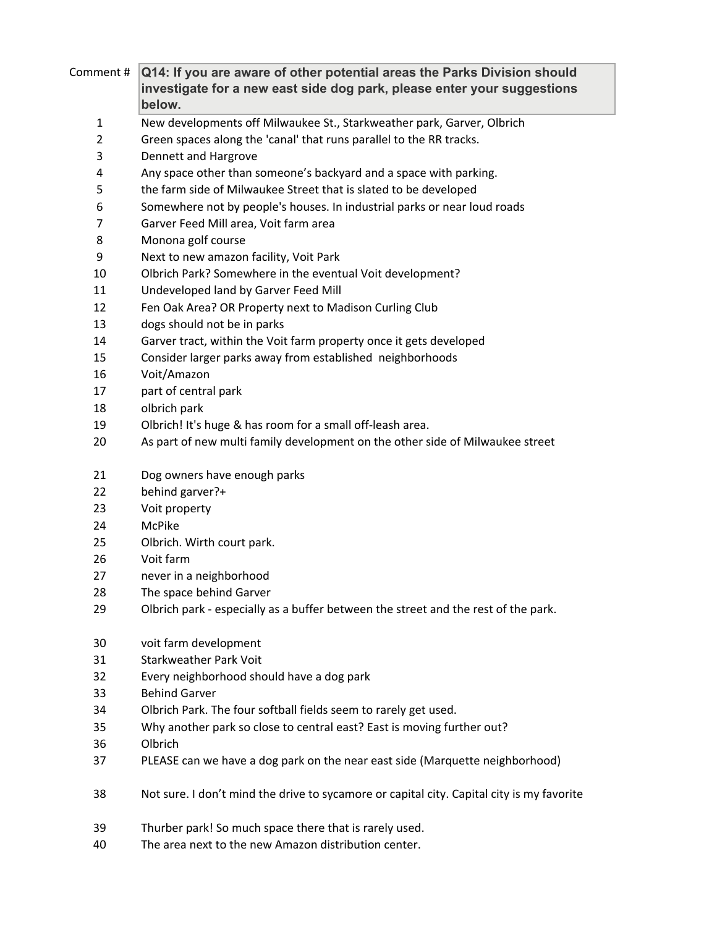| Comment#       | Q14: If you are aware of other potential areas the Parks Division should<br>investigate for a new east side dog park, please enter your suggestions<br>below. |
|----------------|---------------------------------------------------------------------------------------------------------------------------------------------------------------|
| $\mathbf{1}$   | New developments off Milwaukee St., Starkweather park, Garver, Olbrich                                                                                        |
| $\overline{2}$ | Green spaces along the 'canal' that runs parallel to the RR tracks.                                                                                           |
| 3              | Dennett and Hargrove                                                                                                                                          |
| 4              | Any space other than someone's backyard and a space with parking.                                                                                             |
| 5              | the farm side of Milwaukee Street that is slated to be developed                                                                                              |
| 6              | Somewhere not by people's houses. In industrial parks or near loud roads                                                                                      |
| $\overline{7}$ | Garver Feed Mill area, Voit farm area                                                                                                                         |
| 8              | Monona golf course                                                                                                                                            |
| 9              | Next to new amazon facility, Voit Park                                                                                                                        |
| 10             | Olbrich Park? Somewhere in the eventual Voit development?                                                                                                     |
| 11             | Undeveloped land by Garver Feed Mill                                                                                                                          |
| 12             | Fen Oak Area? OR Property next to Madison Curling Club                                                                                                        |
| 13             | dogs should not be in parks                                                                                                                                   |
| 14             | Garver tract, within the Voit farm property once it gets developed                                                                                            |
| 15             | Consider larger parks away from established neighborhoods                                                                                                     |
| 16             | Voit/Amazon                                                                                                                                                   |
| 17             | part of central park                                                                                                                                          |
| 18             | olbrich park                                                                                                                                                  |
| 19             | Olbrich! It's huge & has room for a small off-leash area.                                                                                                     |
| 20             | As part of new multi family development on the other side of Milwaukee street                                                                                 |
| 21             | Dog owners have enough parks                                                                                                                                  |
| 22             | behind garver?+                                                                                                                                               |
| 23             | Voit property                                                                                                                                                 |
| 24             | <b>McPike</b>                                                                                                                                                 |
| 25             | Olbrich. Wirth court park.                                                                                                                                    |
| 26             | Voit farm                                                                                                                                                     |
| 27             | never in a neighborhood                                                                                                                                       |
| 28             | The space behind Garver                                                                                                                                       |
| 29             | Olbrich park - especially as a buffer between the street and the rest of the park.                                                                            |
| 30             | voit farm development                                                                                                                                         |
| 31             | <b>Starkweather Park Voit</b>                                                                                                                                 |
| 32             | Every neighborhood should have a dog park                                                                                                                     |
| 33             | <b>Behind Garver</b>                                                                                                                                          |
| 34             | Olbrich Park. The four softball fields seem to rarely get used.                                                                                               |
| 35             | Why another park so close to central east? East is moving further out?                                                                                        |
| 36             | Olbrich                                                                                                                                                       |
| 37             | PLEASE can we have a dog park on the near east side (Marquette neighborhood)                                                                                  |
| 38             | Not sure. I don't mind the drive to sycamore or capital city. Capital city is my favorite                                                                     |
| 39             | Thurber park! So much space there that is rarely used.                                                                                                        |
| 40             | The area next to the new Amazon distribution center.                                                                                                          |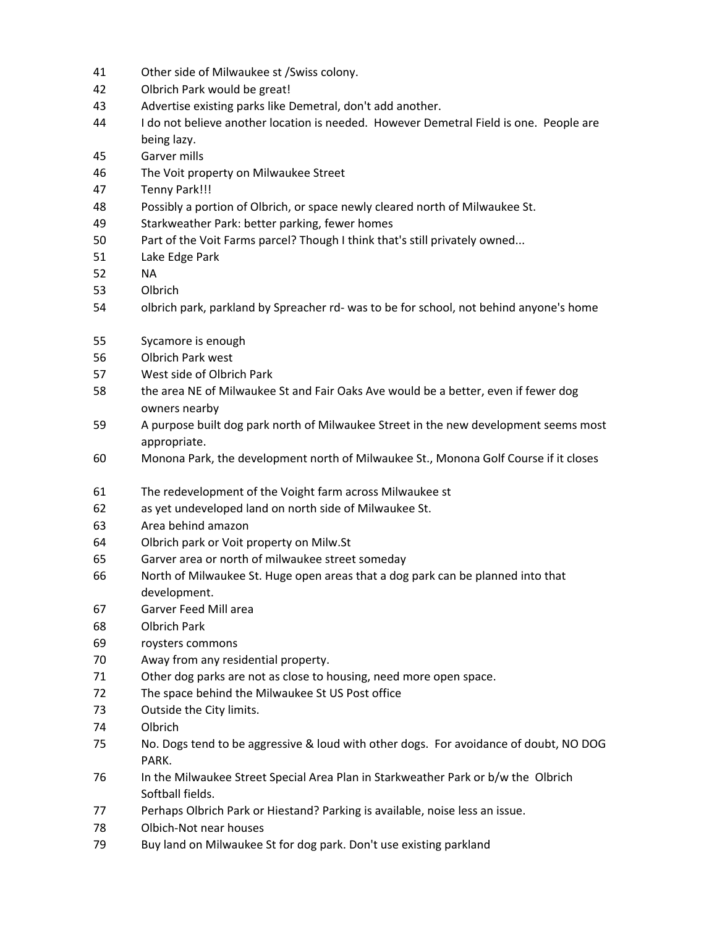- 41 Other side of Milwaukee st /Swiss colony.
- 42 Olbrich Park would be great!
- 43 Advertise existing parks like Demetral, don't add another.
- 44 I do not believe another location is needed. However Demetral Field is one. People are being lazy.
- 45 Garver mills
- 46 The Voit property on Milwaukee Street
- 47 Tenny Park!!!
- 48 Possibly a portion of Olbrich, or space newly cleared north of Milwaukee St.
- 49 Starkweather Park: better parking, fewer homes
- 50 Part of the Voit Farms parcel? Though I think that's still privately owned...
- 51 Lake Edge Park
- 52 NA
- 53 Olbrich
- 54 olbrich park, parkland by Spreacher rd‐ was to be for school, not behind anyone's home
- 55 Sycamore is enough
- 56 Olbrich Park west
- 57 West side of Olbrich Park
- 58 the area NE of Milwaukee St and Fair Oaks Ave would be a better, even if fewer dog owners nearby
- 59 A purpose built dog park north of Milwaukee Street in the new development seems most appropriate.
- 60 Monona Park, the development north of Milwaukee St., Monona Golf Course if it closes
- 61 The redevelopment of the Voight farm across Milwaukee st
- 62 as yet undeveloped land on north side of Milwaukee St.
- 63 Area behind amazon
- 64 Olbrich park or Voit property on Milw.St
- 65 Garver area or north of milwaukee street someday
- 66 North of Milwaukee St. Huge open areas that a dog park can be planned into that development.
- 67 Garver Feed Mill area
- 68 Olbrich Park
- 69 roysters commons
- 70 Away from any residential property.
- 71 Other dog parks are not as close to housing, need more open space.
- 72 The space behind the Milwaukee St US Post office
- 73 Outside the City limits.
- 74 Olbrich
- 75 No. Dogs tend to be aggressive & loud with other dogs. For avoidance of doubt, NO DOG PARK.
- 76 In the Milwaukee Street Special Area Plan in Starkweather Park or b/w the Olbrich Softball fields.
- 77 Perhaps Olbrich Park or Hiestand? Parking is available, noise less an issue.
- 78 Olbich‐Not near houses
- 79 Buy land on Milwaukee St for dog park. Don't use existing parkland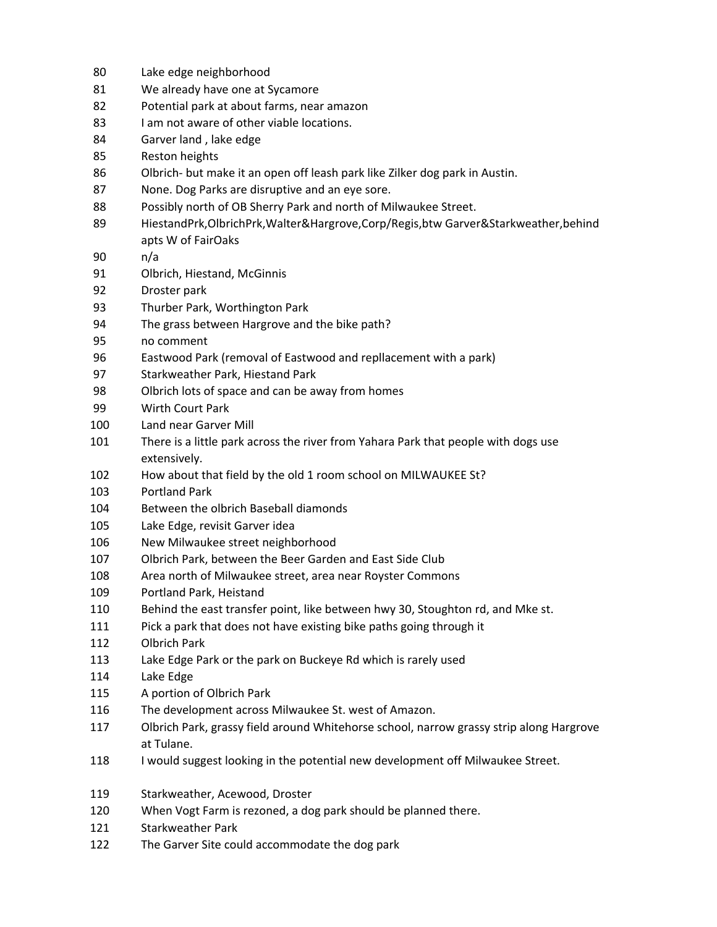- 80 Lake edge neighborhood
- 81 We already have one at Sycamore
- 82 Potential park at about farms, near amazon
- 83 I am not aware of other viable locations.
- 84 Garver land , lake edge
- 85 Reston heights
- 86 Olbrich- but make it an open off leash park like Zilker dog park in Austin.
- 87 None. Dog Parks are disruptive and an eye sore.
- 88 Possibly north of OB Sherry Park and north of Milwaukee Street.
- 89 HiestandPrk,OlbrichPrk,Walter&Hargrove,Corp/Regis,btw Garver&Starkweather,behind apts W of FairOaks
- 90 n/a
- 91 Olbrich, Hiestand, McGinnis
- 92 Droster park
- 93 Thurber Park, Worthington Park
- 94 The grass between Hargrove and the bike path?
- 95 no comment
- 96 Eastwood Park (removal of Eastwood and repllacement with a park)
- 97 Starkweather Park, Hiestand Park
- 98 Olbrich lots of space and can be away from homes
- 99 Wirth Court Park
- 100 Land near Garver Mill
- 101 There is a little park across the river from Yahara Park that people with dogs use extensively.
- 102 How about that field by the old 1 room school on MILWAUKEE St?
- 103 Portland Park
- 104 Between the olbrich Baseball diamonds
- 105 Lake Edge, revisit Garver idea
- 106 New Milwaukee street neighborhood
- 107 Olbrich Park, between the Beer Garden and East Side Club
- 108 Area north of Milwaukee street, area near Royster Commons
- 109 Portland Park, Heistand
- 110 Behind the east transfer point, like between hwy 30, Stoughton rd, and Mke st.
- 111 Pick a park that does not have existing bike paths going through it
- 112 Olbrich Park
- 113 Lake Edge Park or the park on Buckeye Rd which is rarely used
- 114 Lake Edge
- 115 A portion of Olbrich Park
- 116 The development across Milwaukee St. west of Amazon.
- 117 Olbrich Park, grassy field around Whitehorse school, narrow grassy strip along Hargrove at Tulane.
- 118 I would suggest looking in the potential new development off Milwaukee Street.
- 119 Starkweather, Acewood, Droster
- 120 When Vogt Farm is rezoned, a dog park should be planned there.
- 121 Starkweather Park
- 122 The Garver Site could accommodate the dog park